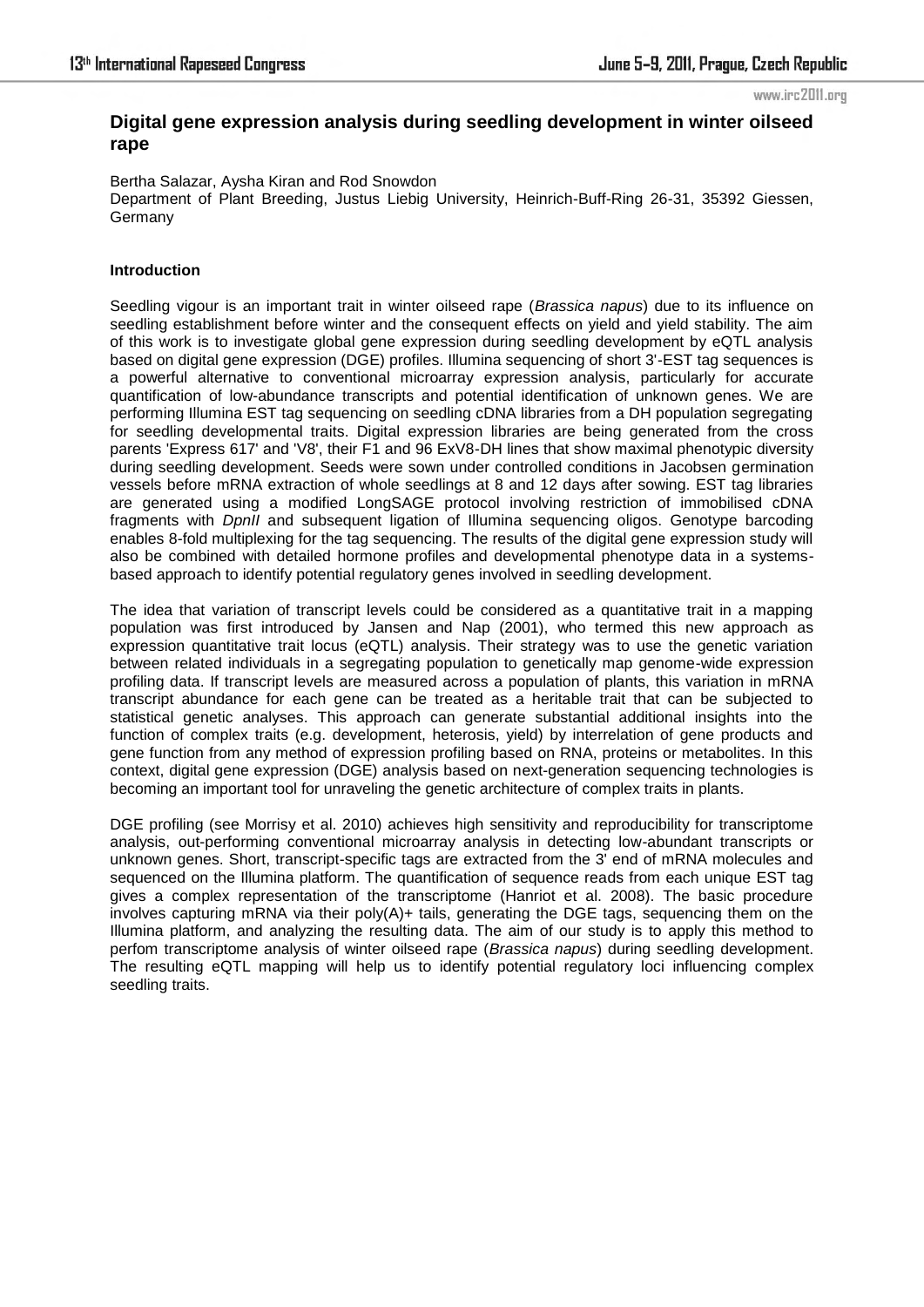#### www.irc2011.org

# **Digital gene expression analysis during seedling development in winter oilseed rape**

Bertha Salazar, Aysha Kiran and Rod Snowdon Department of Plant Breeding, Justus Liebig University, Heinrich-Buff-Ring 26-31, 35392 Giessen, Germany

## **Introduction**

Seedling vigour is an important trait in winter oilseed rape (*Brassica napus*) due to its influence on seedling establishment before winter and the consequent effects on yield and yield stability. The aim of this work is to investigate global gene expression during seedling development by eQTL analysis based on digital gene expression (DGE) profiles. Illumina sequencing of short 3'-EST tag sequences is a powerful alternative to conventional microarray expression analysis, particularly for accurate quantification of low-abundance transcripts and potential identification of unknown genes. We are performing Illumina EST tag sequencing on seedling cDNA libraries from a DH population segregating for seedling developmental traits. Digital expression libraries are being generated from the cross parents 'Express 617' and 'V8', their F1 and 96 ExV8-DH lines that show maximal phenotypic diversity during seedling development. Seeds were sown under controlled conditions in Jacobsen germination vessels before mRNA extraction of whole seedlings at 8 and 12 days after sowing. EST tag libraries are generated using a modified LongSAGE protocol involving restriction of immobilised cDNA fragments with *DpnII* and subsequent ligation of Illumina sequencing oligos. Genotype barcoding enables 8-fold multiplexing for the tag sequencing. The results of the digital gene expression study will also be combined with detailed hormone profiles and developmental phenotype data in a systemsbased approach to identify potential regulatory genes involved in seedling development.

The idea that variation of transcript levels could be considered as a quantitative trait in a mapping population was first introduced by Jansen and Nap (2001), who termed this new approach as expression quantitative trait locus (eQTL) analysis. Their strategy was to use the genetic variation between related individuals in a segregating population to genetically map genome-wide expression profiling data. If transcript levels are measured across a population of plants, this variation in mRNA transcript abundance for each gene can be treated as a heritable trait that can be subjected to statistical genetic analyses. This approach can generate substantial additional insights into the function of complex traits (e.g. development, heterosis, yield) by interrelation of gene products and gene function from any method of expression profiling based on RNA, proteins or metabolites. In this context, digital gene expression (DGE) analysis based on next-generation sequencing technologies is becoming an important tool for unraveling the genetic architecture of complex traits in plants.

DGE profiling (see Morrisy et al. 2010) achieves high sensitivity and reproducibility for transcriptome analysis, out-performing conventional microarray analysis in detecting low-abundant transcripts or unknown genes. Short, transcript-specific tags are extracted from the 3' end of mRNA molecules and sequenced on the Illumina platform. The quantification of sequence reads from each unique EST tag gives a complex representation of the transcriptome (Hanriot et al. 2008). The basic procedure involves capturing mRNA via their  $poly(A)$ + tails, generating the DGE tags, sequencing them on the Illumina platform, and analyzing the resulting data. The aim of our study is to apply this method to perfom transcriptome analysis of winter oilseed rape (*Brassica napus*) during seedling development. The resulting eQTL mapping will help us to identify potential regulatory loci influencing complex seedling traits.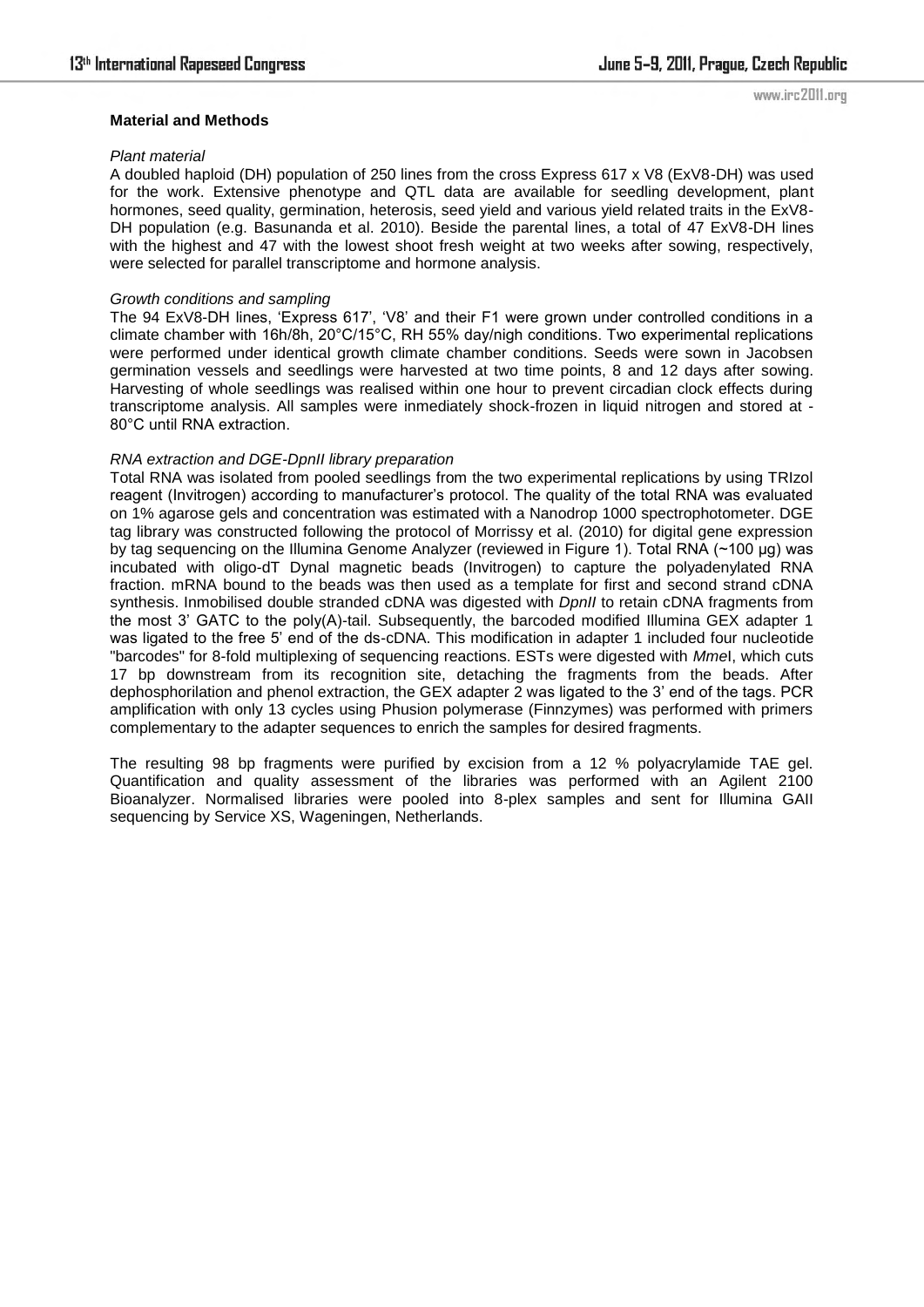#### **Material and Methods**

#### *Plant material*

A doubled haploid (DH) population of 250 lines from the cross Express 617 x V8 (ExV8-DH) was used for the work. Extensive phenotype and QTL data are available for seedling development, plant hormones, seed quality, germination, heterosis, seed yield and various yield related traits in the ExV8- DH population (e.g. Basunanda et al. 2010). Beside the parental lines, a total of 47 ExV8-DH lines with the highest and 47 with the lowest shoot fresh weight at two weeks after sowing, respectively, were selected for parallel transcriptome and hormone analysis.

#### *Growth conditions and sampling*

The 94 ExV8-DH lines, 'Express 617', 'V8' and their F1 were grown under controlled conditions in a climate chamber with 16h/8h, 20°C/15°C, RH 55% day/nigh conditions. Two experimental replications were performed under identical growth climate chamber conditions. Seeds were sown in Jacobsen germination vessels and seedlings were harvested at two time points, 8 and 12 days after sowing. Harvesting of whole seedlings was realised within one hour to prevent circadian clock effects during transcriptome analysis. All samples were inmediately shock-frozen in liquid nitrogen and stored at - 80°C until RNA extraction.

#### *RNA extraction and DGE-DpnII library preparation*

Total RNA was isolated from pooled seedlings from the two experimental replications by using TRIzol reagent (Invitrogen) according to manufacturer's protocol. The quality of the total RNA was evaluated on 1% agarose gels and concentration was estimated with a Nanodrop 1000 spectrophotometer. DGE tag library was constructed following the protocol of Morrissy et al. (2010) for digital gene expression by tag sequencing on the Illumina Genome Analyzer (reviewed in Figure 1). Total RNA (~100 µg) was incubated with oligo-dT Dynal magnetic beads (Invitrogen) to capture the polyadenylated RNA fraction. mRNA bound to the beads was then used as a template for first and second strand cDNA synthesis. Inmobilised double stranded cDNA was digested with *DpnII* to retain cDNA fragments from the most 3' GATC to the poly(A)-tail. Subsequently, the barcoded modified Illumina GEX adapter 1 was ligated to the free 5' end of the ds-cDNA. This modification in adapter 1 included four nucleotide "barcodes" for 8-fold multiplexing of sequencing reactions. ESTs were digested with *Mme*I, which cuts 17 bp downstream from its recognition site, detaching the fragments from the beads. After dephosphorilation and phenol extraction, the GEX adapter 2 was ligated to the 3' end of the tags. PCR amplification with only 13 cycles using Phusion polymerase (Finnzymes) was performed with primers complementary to the adapter sequences to enrich the samples for desired fragments.

The resulting 98 bp fragments were purified by excision from a 12 % polyacrylamide TAE gel. Quantification and quality assessment of the libraries was performed with an Agilent 2100 Bioanalyzer. Normalised libraries were pooled into 8-plex samples and sent for Illumina GAII sequencing by Service XS, Wageningen, Netherlands.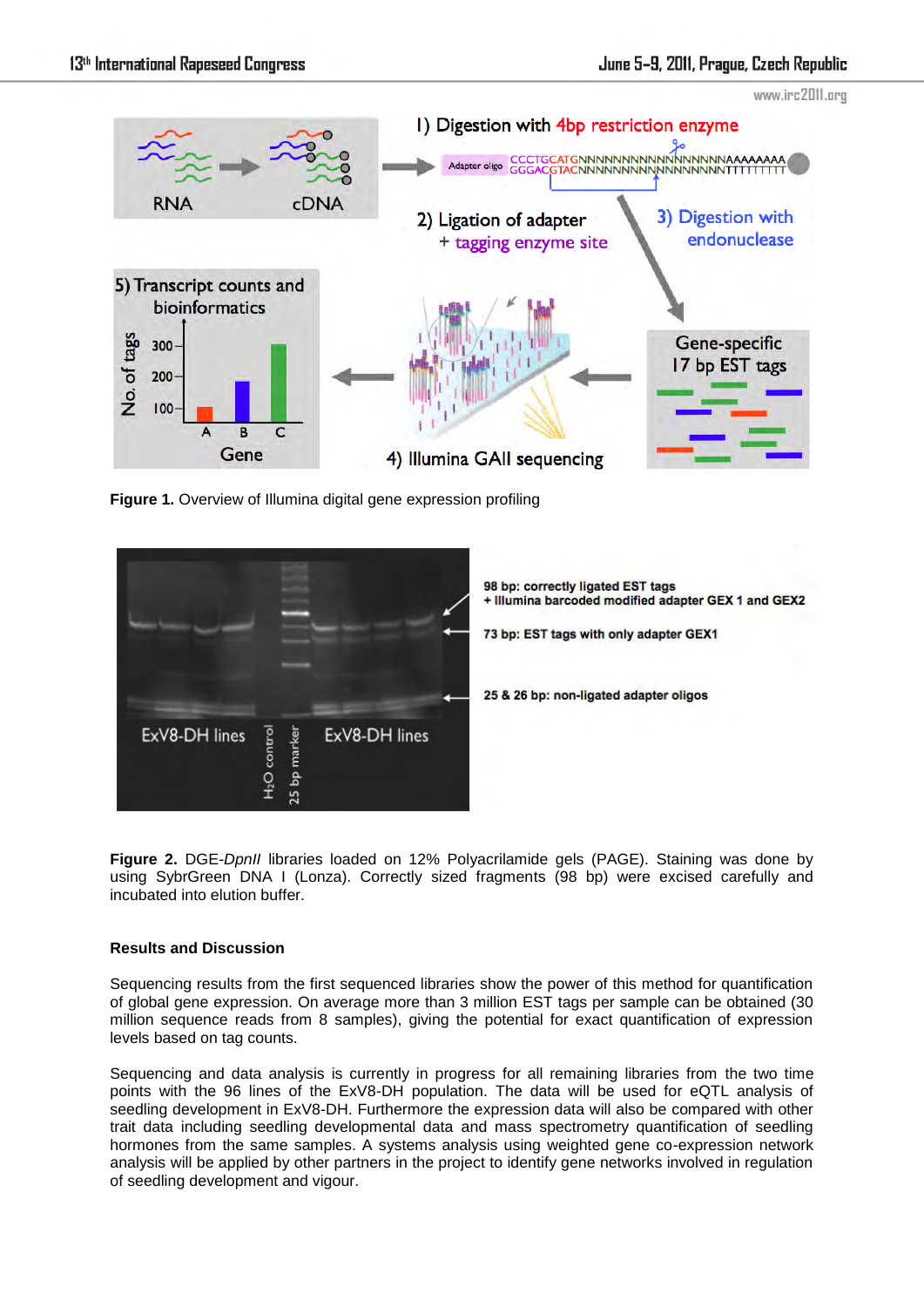

**Figure 1.** Overview of Illumina digital gene expression profiling



**Figure 2.** DGE-*DpnII* libraries loaded on 12% Polyacrilamide gels (PAGE). Staining was done by using SybrGreen DNA I (Lonza). Correctly sized fragments (98 bp) were excised carefully and incubated into elution buffer.

## **Results and Discussion**

Sequencing results from the first sequenced libraries show the power of this method for quantification of global gene expression. On average more than 3 million EST tags per sample can be obtained (30 million sequence reads from 8 samples), giving the potential for exact quantification of expression levels based on tag counts.

Sequencing and data analysis is currently in progress for all remaining libraries from the two time points with the 96 lines of the ExV8-DH population. The data will be used for eQTL analysis of seedling development in ExV8-DH. Furthermore the expression data will also be compared with other trait data including seedling developmental data and mass spectrometry quantification of seedling hormones from the same samples. A systems analysis using weighted gene co-expression network analysis will be applied by other partners in the project to identify gene networks involved in regulation of seedling development and vigour.